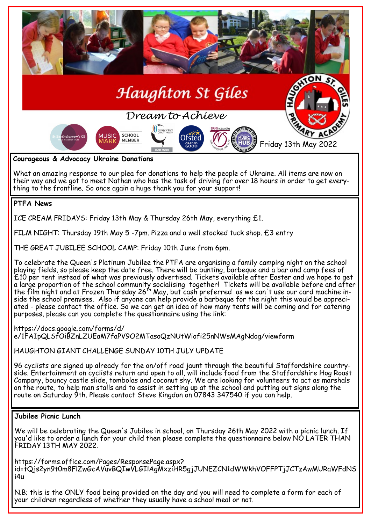

their way and we got to meet Nathan who has the task of driving for over 18 hours in order to get everything to the frontline. So once again a huge thank you for your support!

# **PTFA News**

ICE CREAM FRIDAYS: Friday 13th May & Thursday 26th May, everything £1.

FILM NIGHT: Thursday 19th May 5 -7pm. Pizza and a well stocked tuck shop. £3 entry

THE GREAT JUBILEE SCHOOL CAMP: Friday 10th June from 6pm.

To celebrate the Queen's Platinum Jubilee the PTFA are organising a family camping night on the school playing fields, so please keep the date free. There will be bunting, barbeque and a bar and camp fees of £10 per tent instead of what was previously advertised. Tickets available after Easter and we hope to get a large proportion of the school community socialising together! Tickets will be available before and after the film night and at Frozen Thursday 26th May, but cash preferred as we can't use our card machine inside the school premises. Also if anyone can help provide a barbeque for the night this would be appreciated - please contact the office. So we can get an idea of how many tents will be coming and for catering purposes, please can you complete the questionnaire using the link:

https://docs.google.com/forms/d/ e/1FAIpQLSfOiBZnLZUEaM7faPV9O2MTasoQzNUtWiofi25nNWsMAgNdog/viewform

HAUGHTON GIANT CHALLENGE SUNDAY 10TH JULY UPDATE

96 cyclists are signed up already for the on/off road jaunt through the beautiful Staffordshire countryside. Entertainment on cyclists return and open to all, will include food from the Staffordshire Hog Roast Company, bouncy castle slide, tombolas and coconut shy. We are looking for volunteers to act as marshals on the route, to help man stalls and to assist in setting up at the school and putting out signs along the route on Saturday 9th. Please contact Steve Kingdon on 07843 347540 if you can help.

### **Jubilee Picnic Lunch**

We will be celebrating the Queen's Jubilee in school, on Thursday 26th May 2022 with a picnic lunch. If you'd like to order a lunch for your child then please complete the questionnaire below NO LATER THAN FRIDAY 13TH MAY 2022.

https://forms.office.com/Pages/ResponsePage.aspx? id=tQjs2yn9t0m8FlZwGcAVuvBQIwVLGIlAgMxziHR5gjJUNEZCN1dWWkhVOFFPTjJCTzAwMURaWFdNS i4u

N.B; this is the ONLY food being provided on the day and you will need to complete a form for each of your children regardless of whether they usually have a school meal or not.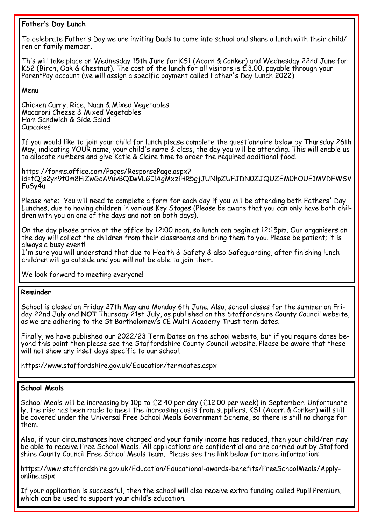# **Father's Day Lunch**

To celebrate Father's Day we are inviting Dads to come into school and share a lunch with their child/ ren or family member.

This will take place on Wednesday 15th June for KS1 (Acorn & Conker) and Wednesday 22nd June for KS2 (Birch, Oak & Chestnut). The cost of the lunch for all visitors is £3.00, payable through your ParentPay account (we will assign a specific payment called Father's Day Lunch 2022).

Menu

Chicken Curry, Rice, Naan & Mixed Vegetables Macaroni Cheese & Mixed Vegetables Ham Sandwich & Side Salad Cupcakes

If you would like to join your child for lunch please complete the questionnaire below by Thursday 26th May, indicating YOUR name, your child's name & class, the day you will be attending. This will enable us to allocate numbers and give Katie & Claire time to order the required additional food.

https://forms.office.com/Pages/ResponsePage.aspx? id=tQjs2yn9t0m8FlZwGcAVuvBQIwVLGIlAgMxziHR5gjJUNlpZUFJDN0ZJQUZEM0hOUE1MVDFWSV FaSy4u

Please note: You will need to complete a form for each day if you will be attending both Fathers' Day Lunches, due to having children in various Key Stages (Please be aware that you can only have both children with you on one of the days and not on both days).

On the day please arrive at the office by 12:00 noon, so lunch can begin at 12:15pm. Our organisers on the day will collect the children from their classrooms and bring them to you. Please be patient; it is always a busy event!

I'm sure you will understand that due to Health & Safety & also Safeguarding, after finishing lunch children will go outside and you will not be able to join them.

We look forward to meeting everyone!

### **Reminder**

School is closed on Friday 27th May and Monday 6th June. Also, school closes for the summer on Friday 22nd July and **NOT** Thursday 21st July, as published on the Staffordshire County Council website, as we are adhering to the St Bartholomew's CE Multi Academy Trust term dates.

Finally, we have published our 2022/23 Term Dates on the school website, but if you require dates beyond this point then please see the Staffordshire County Council website. Please be aware that these will not show any inset days specific to our school.

https://www.staffordshire.gov.uk/Education/termdates.aspx

### **School Meals**

School Meals will be increasing by 10p to £2.40 per day (£12.00 per week) in September. Unfortunately, the rise has been made to meet the increasing costs from suppliers. KS1 (Acorn & Conker) will still be covered under the Universal Free School Meals Government Scheme, so there is still no charge for them.

Also, if your circumstances have changed and your family income has reduced, then your child/ren may be able to receive Free School Meals. All applications are confidential and are carried out by Staffordshire County Council Free School Meals team. Please see the link below for more information:

https://www.staffordshire.gov.uk/Education/Educational-awards-benefits/FreeSchoolMeals/Applyonline.aspx

If your application is successful, then the school will also receive extra funding called Pupil Premium, which can be used to support your child's education.